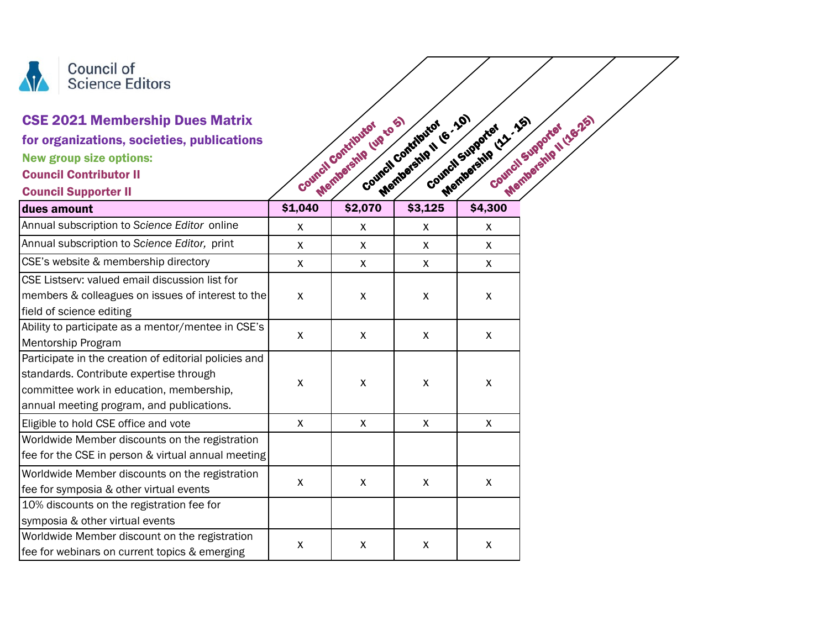

## CSE 2021 Membership Dues Matrix

## Council Contributor II

| <b>CSE 2021 Membership Dues Matrix</b><br>for organizations, societies, publications<br><b>New group size options:</b><br><b>Council Contributor II</b><br><b>Council Supporter II</b> |                    | Membership (up to 5)<br>Council Contributor | Membership II (6: 10)<br>Council Contributor | Membership (22.25)<br>Membership II (16-25)<br>Council Supporter<br>Council Supported |
|----------------------------------------------------------------------------------------------------------------------------------------------------------------------------------------|--------------------|---------------------------------------------|----------------------------------------------|---------------------------------------------------------------------------------------|
| dues amount                                                                                                                                                                            | \$1,040            | \$2,070                                     | \$3,125                                      | \$4,300                                                                               |
| Annual subscription to Science Editor online                                                                                                                                           | X                  | X                                           | X                                            | X                                                                                     |
| Annual subscription to Science Editor, print                                                                                                                                           | $\mathsf{x}$       | X                                           | X                                            | X                                                                                     |
| CSE's website & membership directory                                                                                                                                                   | $\mathsf{x}$       | $\mathsf{X}$                                | $\mathsf{X}$                                 | $\mathsf{X}$                                                                          |
| CSE Listserv: valued email discussion list for                                                                                                                                         |                    |                                             |                                              |                                                                                       |
| members & colleagues on issues of interest to the                                                                                                                                      | $\mathsf{x}$       | X                                           | X                                            | X                                                                                     |
| field of science editing                                                                                                                                                               |                    |                                             |                                              |                                                                                       |
| Ability to participate as a mentor/mentee in CSE's                                                                                                                                     | $\pmb{\mathsf{X}}$ | $\pmb{\times}$                              | $\pmb{\times}$                               | $\pmb{\times}$                                                                        |
| Mentorship Program                                                                                                                                                                     |                    |                                             |                                              |                                                                                       |
| Participate in the creation of editorial policies and                                                                                                                                  |                    |                                             |                                              |                                                                                       |
| standards. Contribute expertise through                                                                                                                                                | $\pmb{\mathsf{X}}$ | $\pmb{\mathsf{X}}$                          | $\pmb{\mathsf{X}}$                           | $\pmb{\mathsf{X}}$                                                                    |
| committee work in education, membership,                                                                                                                                               |                    |                                             |                                              |                                                                                       |
| annual meeting program, and publications.                                                                                                                                              |                    |                                             |                                              |                                                                                       |
| Eligible to hold CSE office and vote                                                                                                                                                   | X                  | X                                           | X                                            | X                                                                                     |
| Worldwide Member discounts on the registration                                                                                                                                         |                    |                                             |                                              |                                                                                       |
| fee for the CSE in person & virtual annual meeting                                                                                                                                     |                    |                                             |                                              |                                                                                       |
| Worldwide Member discounts on the registration                                                                                                                                         |                    |                                             |                                              |                                                                                       |
| fee for symposia & other virtual events                                                                                                                                                | $\mathsf{x}$       | X                                           | X                                            | X                                                                                     |
| 10% discounts on the registration fee for                                                                                                                                              |                    |                                             |                                              |                                                                                       |
| symposia & other virtual events                                                                                                                                                        |                    |                                             |                                              |                                                                                       |
| Worldwide Member discount on the registration<br>fee for webinars on current topics & emerging                                                                                         | X                  | X                                           | X                                            | X                                                                                     |